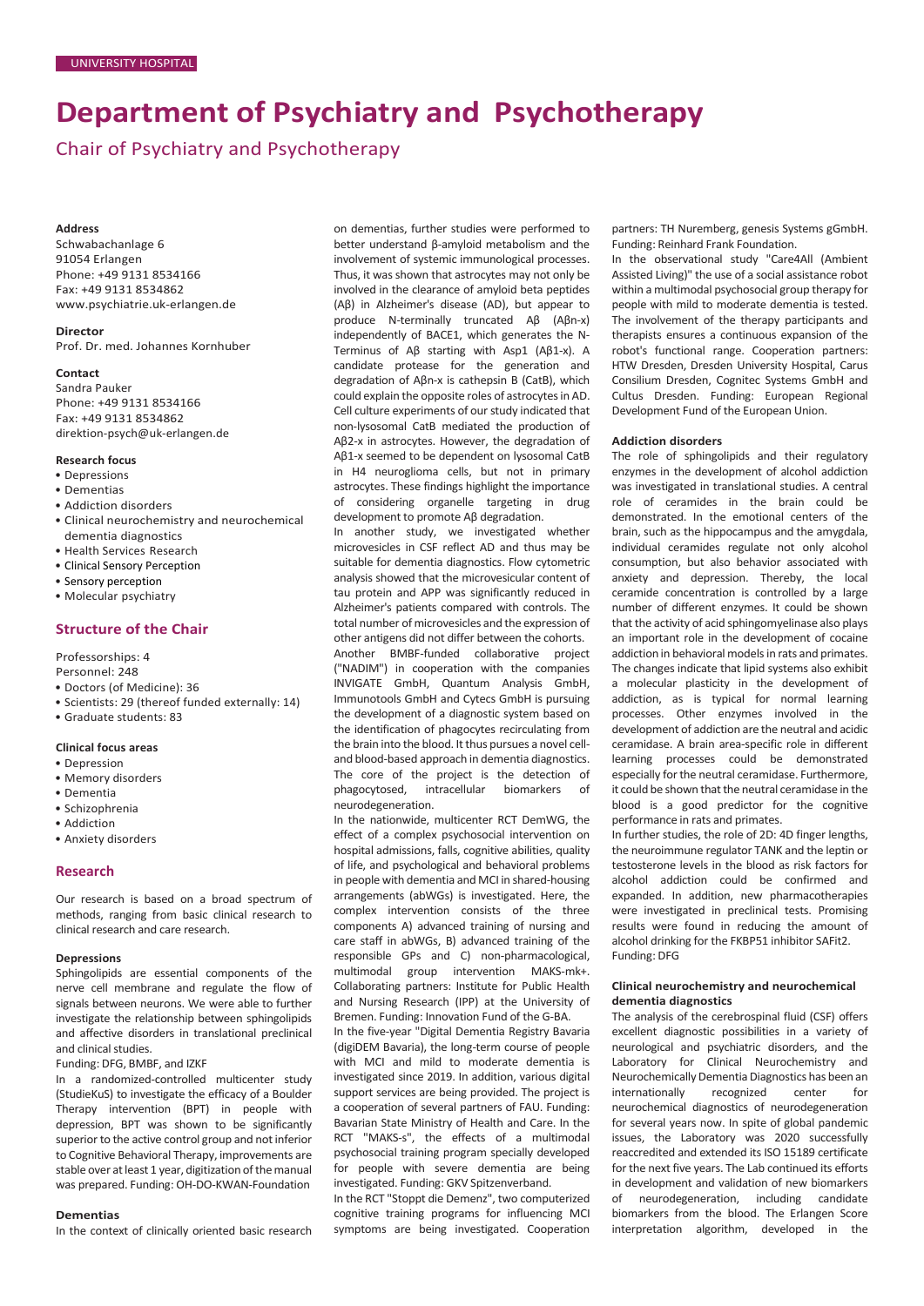# **Department of Psychiatry and Psychotherapy**

Chair of Psychiatry and Psychotherapy

#### **Address**

Schwabachanlage 6 91054 Erlangen Phone: +49 9131 8534166 Fax: +49 9131 8534862 [www.psychiatrie.uk-erlangen.de](http://www.psychiatrie.uk-erlangen.de/)

# **Director**

Prof. Dr. med. Johannes Kornhuber

# **Contact**

Sandra Pauker Phone: +49 9131 8534166 Fax: +49 9131 8534862 [direktion-psych@uk-erlangen.de](mailto:direktion-psych@uk-erlangen.de)

#### **Research focus**

- Depressions
- Dementias
- Addiction disorders
- Clinical neurochemistry and neurochemical dementia diagnostics
- Health Services Research
- Clinical Sensory Perception
- Sensory perception
- Molecular psychiatry

# **Structure of the Chair**

Professorships: 4 Personnel: 248

- Doctors (of Medicine): 36
- Scientists: 29 (thereof funded externally: 14)
- Graduate students: 83

#### **Clinical focus areas**

- Depression
- Memory disorders • Dementia
- Schizophrenia
- Addiction
- Anxiety disorders

#### **Research**

Our research is based on a broad spectrum of methods, ranging from basic clinical research to clinical research and care research.

### **Depressions**

Sphingolipids are essential components of the nerve cell membrane and regulate the flow of signals between neurons. We were able to further investigate the relationship between sphingolipids and affective disorders in translational preclinical and clinical studies.

### Funding: DFG, BMBF, and IZKF

In a randomized-controlled multicenter study (StudieKuS) to investigate the efficacy of a Boulder Therapy intervention (BPT) in people with depression, BPT was shown to be significantly superior to the active control group and not inferior to Cognitive Behavioral Therapy, improvements are stable over at least 1 year, digitization of the manual was prepared. Funding: OH-DO-KWAN-Foundation

#### **Dementias**

In the context of clinically oriented basic research

on dementias, further studies were performed to better understand β-amyloid metabolism and the involvement of systemic immunological processes. Thus, it was shown that astrocytes may not only be involved in the clearance of amyloid beta peptides (Aβ) in Alzheimer's disease (AD), but appear to produce N-terminally truncated Aβ (Aβn-x) independently of BACE1, which generates the N-Terminus of Aβ starting with Asp1 (Aβ1-x). A candidate protease for the generation and degradation of Aβn-x is cathepsin B (CatB), which could explain the opposite roles of astrocytes in AD. Cell culture experiments of our study indicated that non-lysosomal CatB mediated the production of Aβ2-x in astrocytes. However, the degradation of Aβ1-x seemed to be dependent on lysosomal CatB in H4 neuroglioma cells, but not in primary astrocytes. These findings highlight the importance of considering organelle targeting in drug development to promote Aβ degradation.

In another study, we investigated whether microvesicles in CSF reflect AD and thus may be suitable for dementia diagnostics. Flow cytometric analysis showed that the microvesicular content of tau protein and APP was significantly reduced in Alzheimer's patients compared with controls. The total number of microvesicles and the expression of other antigens did not differ between the cohorts.

Another BMBF-funded collaborative project ("NADIM") in cooperation with the companies INVIGATE GmbH, Quantum Analysis GmbH, Immunotools GmbH and Cytecs GmbH is pursuing the development of a diagnostic system based on the identification of phagocytes recirculating from the brain into the blood. It thus pursues a novel celland blood-based approach in dementia diagnostics. The core of the project is the detection of phagocytosed, intracellular biomarkers of neurodegeneration.

In the nationwide, multicenter RCT DemWG, the effect of a complex psychosocial intervention on hospital admissions, falls, cognitive abilities, quality of life, and psychological and behavioral problems in people with dementia and MCI in shared-housing arrangements (abWGs) is investigated. Here, the complex intervention consists of the three components A) advanced training of nursing and care staff in abWGs, B) advanced training of the responsible GPs and C) non-pharmacological, multimodal group intervention MAKS-mk+. Collaborating partners: Institute for Public Health and Nursing Research (IPP) at the University of Bremen. Funding: Innovation Fund of the G-BA.

In the five-year "Digital Dementia Registry Bavaria (digiDEM Bavaria), the long-term course of people with MCI and mild to moderate dementia is investigated since 2019. In addition, various digital support services are being provided. The project is a cooperation of several partners of FAU. Funding: Bavarian State Ministry of Health and Care. In the RCT "MAKS-s", the effects of a multimodal psychosocial training program specially developed for people with severe dementia are being investigated. Funding: GKV Spitzenverband.

In the RCT "Stoppt die Demenz", two computerized cognitive training programs for influencing MCI symptoms are being investigated. Cooperation partners: TH Nuremberg, genesis Systems gGmbH. Funding: Reinhard Frank Foundation.

In the observational study "Care4All (Ambient Assisted Living)" the use of a social assistance robot within a multimodal psychosocial group therapy for people with mild to moderate dementia is tested. The involvement of the therapy participants and therapists ensures a continuous expansion of the robot's functional range. Cooperation partners: HTW Dresden, Dresden University Hospital, Carus Consilium Dresden, Cognitec Systems GmbH and Cultus Dresden. Funding: European Regional Development Fund of the European Union.

#### **Addiction disorders**

The role of sphingolipids and their regulatory enzymes in the development of alcohol addiction was investigated in translational studies. A central role of ceramides in the brain could be demonstrated. In the emotional centers of the brain, such as the hippocampus and the amygdala, individual ceramides regulate not only alcohol consumption, but also behavior associated with anxiety and depression. Thereby, the local ceramide concentration is controlled by a large number of different enzymes. It could be shown that the activity of acid sphingomyelinase also plays an important role in the development of cocaine addiction in behavioral models in rats and primates. The changes indicate that lipid systems also exhibit a molecular plasticity in the development of addiction, as is typical for normal learning processes. Other enzymes involved in the development of addiction are the neutral and acidic ceramidase. A brain area-specific role in different learning processes could be demonstrated especially for the neutral ceramidase. Furthermore, it could be shown that the neutral ceramidase in the blood is a good predictor for the cognitive performance in rats and primates.

In further studies, the role of 2D: 4D finger lengths, the neuroimmune regulator TANK and the leptin or testosterone levels in the blood as risk factors for alcohol addiction could be confirmed and expanded. In addition, new pharmacotherapies were investigated in preclinical tests. Promising results were found in reducing the amount of alcohol drinking for the FKBP51 inhibitor SAFit2. Funding: DFG

#### **Clinical neurochemistry and neurochemical dementia diagnostics**

The analysis of the cerebrospinal fluid (CSF) offers excellent diagnostic possibilities in a variety of neurological and psychiatric disorders, and the Laboratory for Clinical Neurochemistry and Neurochemically Dementia Diagnostics has been an internationally recognized center for neurochemical diagnostics of neurodegeneration for several years now. In spite of global pandemic issues, the Laboratory was 2020 successfully reaccredited and extended its ISO 15189 certificate for the next five years. The Lab continued its efforts in development and validation of new biomarkers of neurodegeneration, including candidate biomarkers from the blood. The Erlangen Score interpretation algorithm, developed in the